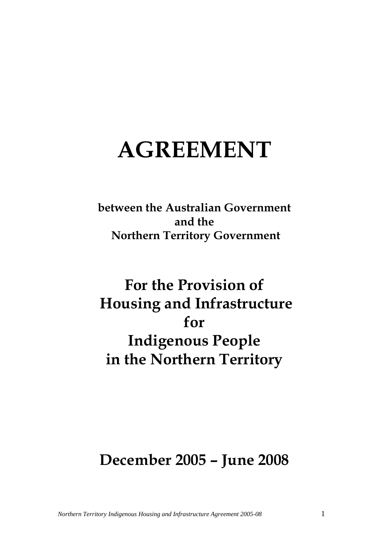# **AGREEMENT**

**between the Australian Government and the Northern Territory Government** 

## **For the Provision of Housing and Infrastructure for Indigenous People in the Northern Territory**

### **December 2005 – June 2008**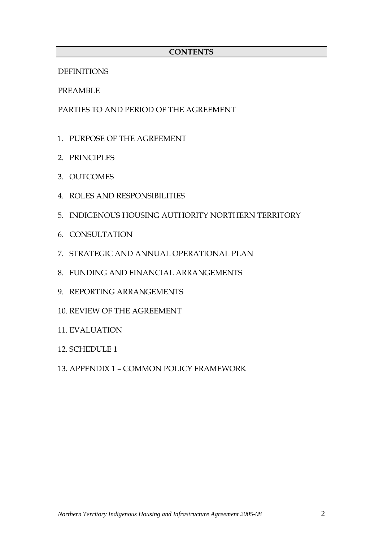#### **CONTENTS**

DEFINITIONS

PREAMBLE

PARTIES TO AND PERIOD OF THE AGREEMENT

- 1. PURPOSE OF THE AGREEMENT
- 2. PRINCIPLES
- 3. OUTCOMES
- 4. ROLES AND RESPONSIBILITIES
- 5. INDIGENOUS HOUSING AUTHORITY NORTHERN TERRITORY
- 6. CONSULTATION
- 7. STRATEGIC AND ANNUAL OPERATIONAL PLAN
- 8. FUNDING AND FINANCIAL ARRANGEMENTS
- 9. REPORTING ARRANGEMENTS
- 10. REVIEW OF THE AGREEMENT
- 11. EVALUATION
- 12. SCHEDULE 1
- 13. APPENDIX 1 COMMON POLICY FRAMEWORK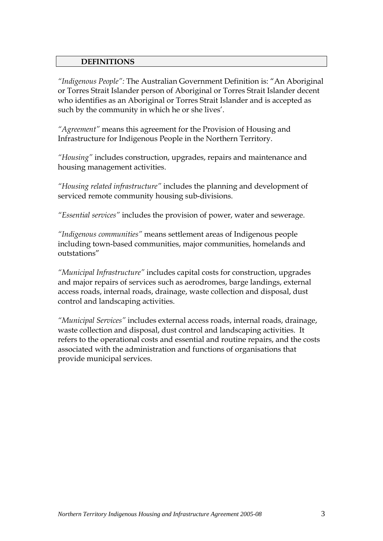#### **DEFINITIONS**

*"Indigenous People":* The Australian Government Definition is: "An Aboriginal or Torres Strait Islander person of Aboriginal or Torres Strait Islander decent who identifies as an Aboriginal or Torres Strait Islander and is accepted as such by the community in which he or she lives'.

*"Agreement"* means this agreement for the Provision of Housing and Infrastructure for Indigenous People in the Northern Territory.

*"Housing"* includes construction, upgrades, repairs and maintenance and housing management activities.

*"Housing related infrastructure"* includes the planning and development of serviced remote community housing sub-divisions.

*"Essential services"* includes the provision of power, water and sewerage.

*"Indigenous communities"* means settlement areas of Indigenous people including town-based communities, major communities, homelands and outstations"

*"Municipal Infrastructure"* includes capital costs for construction, upgrades and major repairs of services such as aerodromes, barge landings, external access roads, internal roads, drainage, waste collection and disposal, dust control and landscaping activities.

*"Municipal Services"* includes external access roads, internal roads, drainage, waste collection and disposal, dust control and landscaping activities. It refers to the operational costs and essential and routine repairs, and the costs associated with the administration and functions of organisations that provide municipal services.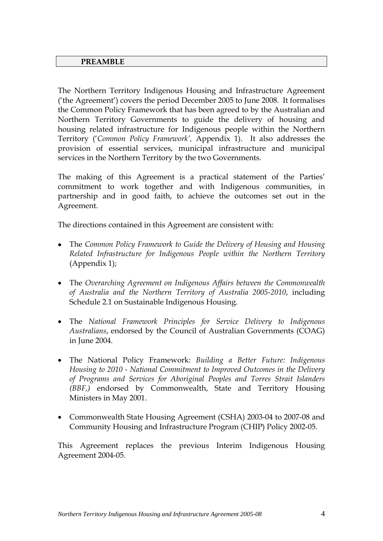#### **PREAMBLE**

The Northern Territory Indigenous Housing and Infrastructure Agreement ('the Agreement') covers the period December 2005 to June 2008. It formalises the Common Policy Framework that has been agreed to by the Australian and Northern Territory Governments to guide the delivery of housing and housing related infrastructure for Indigenous people within the Northern Territory ('*Common Policy Framework',* Appendix 1). It also addresses the provision of essential services, municipal infrastructure and municipal services in the Northern Territory by the two Governments.

The making of this Agreement is a practical statement of the Parties' commitment to work together and with Indigenous communities, in partnership and in good faith, to achieve the outcomes set out in the Agreement.

The directions contained in this Agreement are consistent with:

- The *Common Policy Framework to Guide the Delivery of Housing and Housing Related Infrastructure for Indigenous People within the Northern Territory*  (Appendix 1);
- The *Overarching Agreement on Indigenous Affairs between the Commonwealth of Australia and the Northern Territory of Australia 2005-2010*, including Schedule 2.1 on Sustainable Indigenous Housing.
- The *National Framework Principles for Service Delivery to Indigenous Australians*, endorsed by the Council of Australian Governments (COAG) in June 2004.
- The National Policy Framework: *Building a Better Future: Indigenous Housing to 2010 - National Commitment to Improved Outcomes in the Delivery of Programs and Services for Aboriginal Peoples and Torres Strait Islanders (BBF,)* endorsed by Commonwealth, State and Territory Housing Ministers in May 2001.
- Commonwealth State Housing Agreement (CSHA) 2003-04 to 2007-08 and Community Housing and Infrastructure Program (CHIP) Policy 2002-05.

This Agreement replaces the previous Interim Indigenous Housing Agreement 2004-05.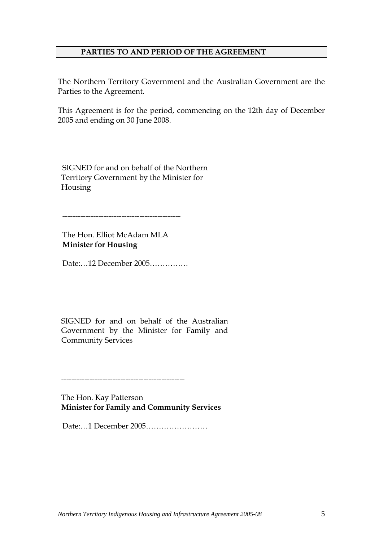#### **PARTIES TO AND PERIOD OF THE AGREEMENT**

The Northern Territory Government and the Australian Government are the Parties to the Agreement.

This Agreement is for the period, commencing on the 12th day of December 2005 and ending on 30 June 2008.

SIGNED for and on behalf of the Northern Territory Government by the Minister for Housing

----------------------------------------------

The Hon. Elliot McAdam MLA **Minister for Housing** 

Date:…12 December 2005……………

SIGNED for and on behalf of the Australian Government by the Minister for Family and Community Services

------------------------------------------------

The Hon. Kay Patterson **Minister for Family and Community Services**

Date:…1 December 2005……………………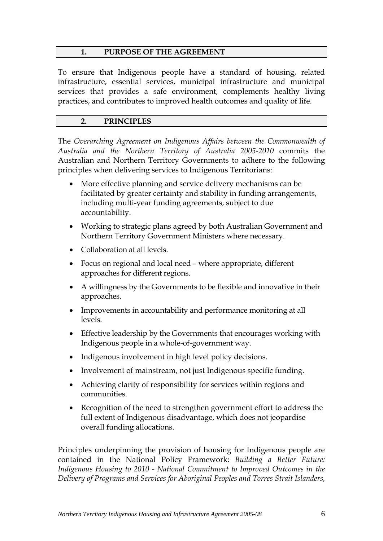#### **1. PURPOSE OF THE AGREEMENT**

To ensure that Indigenous people have a standard of housing, related infrastructure, essential services, municipal infrastructure and municipal services that provides a safe environment, complements healthy living practices, and contributes to improved health outcomes and quality of life.

#### **2. PRINCIPLES**

The *Overarching Agreement on Indigenous Affairs between the Commonwealth of Australia and the Northern Territory of Australia 2005-2010* commits the Australian and Northern Territory Governments to adhere to the following principles when delivering services to Indigenous Territorians:

- More effective planning and service delivery mechanisms can be facilitated by greater certainty and stability in funding arrangements, including multi-year funding agreements, subject to due accountability.
- Working to strategic plans agreed by both Australian Government and Northern Territory Government Ministers where necessary.
- Collaboration at all levels.
- Focus on regional and local need where appropriate, different approaches for different regions.
- A willingness by the Governments to be flexible and innovative in their approaches.
- Improvements in accountability and performance monitoring at all levels.
- Effective leadership by the Governments that encourages working with Indigenous people in a whole-of-government way.
- Indigenous involvement in high level policy decisions.
- Involvement of mainstream, not just Indigenous specific funding.
- Achieving clarity of responsibility for services within regions and communities.
- Recognition of the need to strengthen government effort to address the full extent of Indigenous disadvantage, which does not jeopardise overall funding allocations.

Principles underpinning the provision of housing for Indigenous people are contained in the National Policy Framework: *Building a Better Future: Indigenous Housing to 2010 - National Commitment to Improved Outcomes in the Delivery of Programs and Services for Aboriginal Peoples and Torres Strait Islanders*,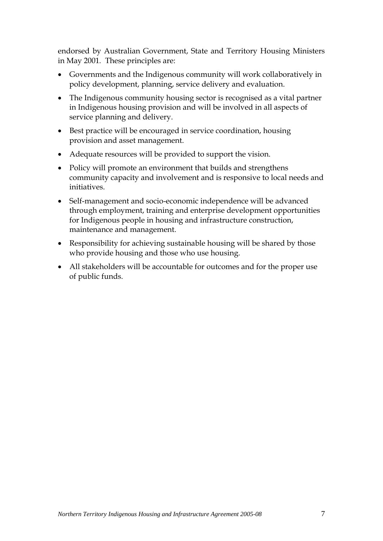endorsed by Australian Government, State and Territory Housing Ministers in May 2001*.* These principles are:

- Governments and the Indigenous community will work collaboratively in policy development, planning, service delivery and evaluation.
- The Indigenous community housing sector is recognised as a vital partner in Indigenous housing provision and will be involved in all aspects of service planning and delivery.
- Best practice will be encouraged in service coordination, housing provision and asset management.
- Adequate resources will be provided to support the vision.
- Policy will promote an environment that builds and strengthens community capacity and involvement and is responsive to local needs and initiatives.
- Self-management and socio-economic independence will be advanced through employment, training and enterprise development opportunities for Indigenous people in housing and infrastructure construction, maintenance and management.
- Responsibility for achieving sustainable housing will be shared by those who provide housing and those who use housing.
- All stakeholders will be accountable for outcomes and for the proper use of public funds.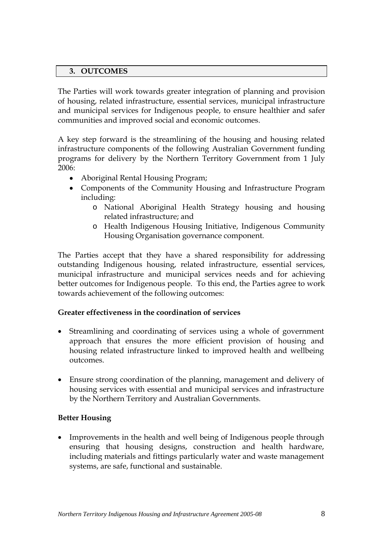#### **3. OUTCOMES**

The Parties will work towards greater integration of planning and provision of housing, related infrastructure, essential services, municipal infrastructure and municipal services for Indigenous people, to ensure healthier and safer communities and improved social and economic outcomes.

A key step forward is the streamlining of the housing and housing related infrastructure components of the following Australian Government funding programs for delivery by the Northern Territory Government from 1 July 2006:

- Aboriginal Rental Housing Program;
- Components of the Community Housing and Infrastructure Program including:
	- o National Aboriginal Health Strategy housing and housing related infrastructure; and
	- o Health Indigenous Housing Initiative, Indigenous Community Housing Organisation governance component.

The Parties accept that they have a shared responsibility for addressing outstanding Indigenous housing, related infrastructure, essential services, municipal infrastructure and municipal services needs and for achieving better outcomes for Indigenous people. To this end, the Parties agree to work towards achievement of the following outcomes:

#### **Greater effectiveness in the coordination of services**

- Streamlining and coordinating of services using a whole of government approach that ensures the more efficient provision of housing and housing related infrastructure linked to improved health and wellbeing outcomes.
- Ensure strong coordination of the planning, management and delivery of housing services with essential and municipal services and infrastructure by the Northern Territory and Australian Governments.

#### **Better Housing**

• Improvements in the health and well being of Indigenous people through ensuring that housing designs, construction and health hardware, including materials and fittings particularly water and waste management systems, are safe, functional and sustainable.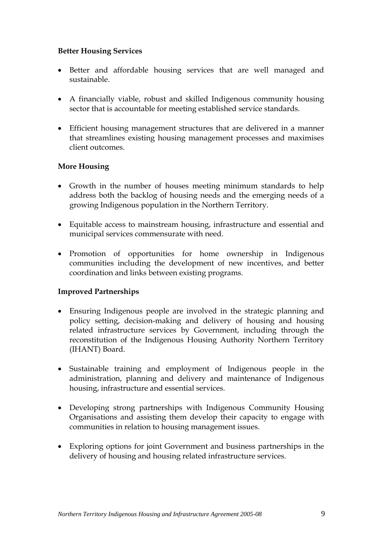#### **Better Housing Services**

- Better and affordable housing services that are well managed and sustainable.
- A financially viable, robust and skilled Indigenous community housing sector that is accountable for meeting established service standards.
- Efficient housing management structures that are delivered in a manner that streamlines existing housing management processes and maximises client outcomes.

#### **More Housing**

- Growth in the number of houses meeting minimum standards to help address both the backlog of housing needs and the emerging needs of a growing Indigenous population in the Northern Territory.
- Equitable access to mainstream housing, infrastructure and essential and municipal services commensurate with need.
- Promotion of opportunities for home ownership in Indigenous communities including the development of new incentives, and better coordination and links between existing programs.

#### **Improved Partnerships**

- Ensuring Indigenous people are involved in the strategic planning and policy setting, decision-making and delivery of housing and housing related infrastructure services by Government, including through the reconstitution of the Indigenous Housing Authority Northern Territory (IHANT) Board.
- Sustainable training and employment of Indigenous people in the administration, planning and delivery and maintenance of Indigenous housing, infrastructure and essential services.
- Developing strong partnerships with Indigenous Community Housing Organisations and assisting them develop their capacity to engage with communities in relation to housing management issues.
- Exploring options for joint Government and business partnerships in the delivery of housing and housing related infrastructure services.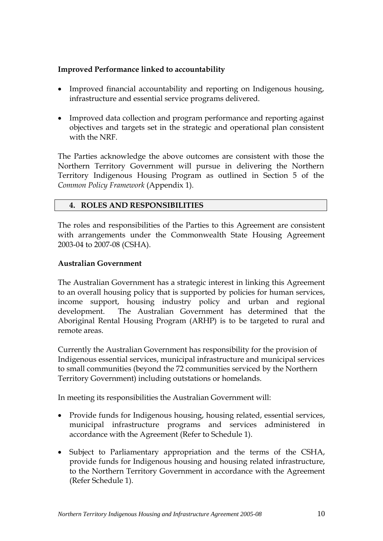#### **Improved Performance linked to accountability**

- Improved financial accountability and reporting on Indigenous housing, infrastructure and essential service programs delivered.
- Improved data collection and program performance and reporting against objectives and targets set in the strategic and operational plan consistent with the NRF.

The Parties acknowledge the above outcomes are consistent with those the Northern Territory Government will pursue in delivering the Northern Territory Indigenous Housing Program as outlined in Section 5 of the *Common Policy Framework* (Appendix 1).

#### **4. ROLES AND RESPONSIBILITIES**

The roles and responsibilities of the Parties to this Agreement are consistent with arrangements under the Commonwealth State Housing Agreement 2003-04 to 2007-08 (CSHA).

#### **Australian Government**

The Australian Government has a strategic interest in linking this Agreement to an overall housing policy that is supported by policies for human services, income support, housing industry policy and urban and regional development. The Australian Government has determined that the Aboriginal Rental Housing Program (ARHP) is to be targeted to rural and remote areas.

Currently the Australian Government has responsibility for the provision of Indigenous essential services, municipal infrastructure and municipal services to small communities (beyond the 72 communities serviced by the Northern Territory Government) including outstations or homelands.

In meeting its responsibilities the Australian Government will:

- Provide funds for Indigenous housing, housing related, essential services, municipal infrastructure programs and services administered in accordance with the Agreement (Refer to Schedule 1).
- Subject to Parliamentary appropriation and the terms of the CSHA, provide funds for Indigenous housing and housing related infrastructure, to the Northern Territory Government in accordance with the Agreement (Refer Schedule 1).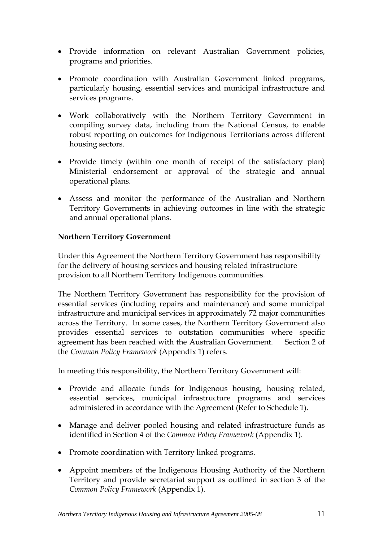- Provide information on relevant Australian Government policies, programs and priorities.
- Promote coordination with Australian Government linked programs, particularly housing, essential services and municipal infrastructure and services programs.
- Work collaboratively with the Northern Territory Government in compiling survey data, including from the National Census, to enable robust reporting on outcomes for Indigenous Territorians across different housing sectors.
- Provide timely (within one month of receipt of the satisfactory plan) Ministerial endorsement or approval of the strategic and annual operational plans.
- Assess and monitor the performance of the Australian and Northern Territory Governments in achieving outcomes in line with the strategic and annual operational plans.

#### **Northern Territory Government**

Under this Agreement the Northern Territory Government has responsibility for the delivery of housing services and housing related infrastructure provision to all Northern Territory Indigenous communities.

The Northern Territory Government has responsibility for the provision of essential services (including repairs and maintenance) and some municipal infrastructure and municipal services in approximately 72 major communities across the Territory. In some cases, the Northern Territory Government also provides essential services to outstation communities where specific agreement has been reached with the Australian Government. Section 2 of the *Common Policy Framework* (Appendix 1) refers.

In meeting this responsibility, the Northern Territory Government will:

- Provide and allocate funds for Indigenous housing, housing related, essential services, municipal infrastructure programs and services administered in accordance with the Agreement (Refer to Schedule 1).
- Manage and deliver pooled housing and related infrastructure funds as identified in Section 4 of the *Common Policy Framework* (Appendix 1).
- Promote coordination with Territory linked programs.
- Appoint members of the Indigenous Housing Authority of the Northern Territory and provide secretariat support as outlined in section 3 of the *Common Policy Framework* (Appendix 1).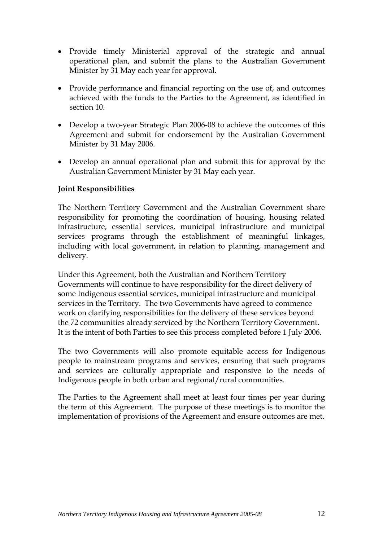- Provide timely Ministerial approval of the strategic and annual operational plan, and submit the plans to the Australian Government Minister by 31 May each year for approval.
- Provide performance and financial reporting on the use of, and outcomes achieved with the funds to the Parties to the Agreement, as identified in section 10.
- Develop a two-year Strategic Plan 2006-08 to achieve the outcomes of this Agreement and submit for endorsement by the Australian Government Minister by 31 May 2006.
- Develop an annual operational plan and submit this for approval by the Australian Government Minister by 31 May each year.

#### **Joint Responsibilities**

The Northern Territory Government and the Australian Government share responsibility for promoting the coordination of housing, housing related infrastructure, essential services, municipal infrastructure and municipal services programs through the establishment of meaningful linkages, including with local government, in relation to planning, management and delivery.

Under this Agreement, both the Australian and Northern Territory Governments will continue to have responsibility for the direct delivery of some Indigenous essential services, municipal infrastructure and municipal services in the Territory. The two Governments have agreed to commence work on clarifying responsibilities for the delivery of these services beyond the 72 communities already serviced by the Northern Territory Government. It is the intent of both Parties to see this process completed before 1 July 2006.

The two Governments will also promote equitable access for Indigenous people to mainstream programs and services, ensuring that such programs and services are culturally appropriate and responsive to the needs of Indigenous people in both urban and regional/rural communities.

The Parties to the Agreement shall meet at least four times per year during the term of this Agreement. The purpose of these meetings is to monitor the implementation of provisions of the Agreement and ensure outcomes are met.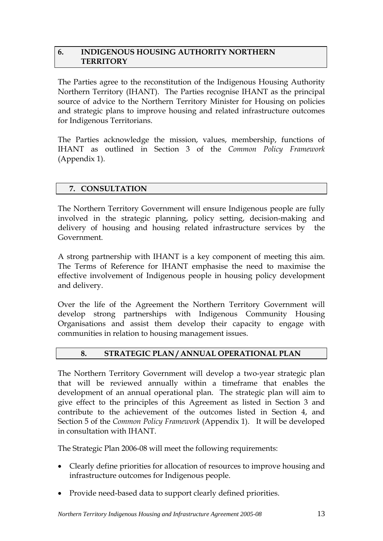#### **6. INDIGENOUS HOUSING AUTHORITY NORTHERN TERRITORY**

The Parties agree to the reconstitution of the Indigenous Housing Authority Northern Territory (IHANT). The Parties recognise IHANT as the principal source of advice to the Northern Territory Minister for Housing on policies and strategic plans to improve housing and related infrastructure outcomes for Indigenous Territorians.

The Parties acknowledge the mission, values, membership, functions of IHANT as outlined in Section 3 of the *Common Policy Framework* (Appendix 1).

#### **7. CONSULTATION**

The Northern Territory Government will ensure Indigenous people are fully involved in the strategic planning, policy setting, decision-making and delivery of housing and housing related infrastructure services by the Government.

A strong partnership with IHANT is a key component of meeting this aim. The Terms of Reference for IHANT emphasise the need to maximise the effective involvement of Indigenous people in housing policy development and delivery.

Over the life of the Agreement the Northern Territory Government will develop strong partnerships with Indigenous Community Housing Organisations and assist them develop their capacity to engage with communities in relation to housing management issues.

#### **8. STRATEGIC PLAN / ANNUAL OPERATIONAL PLAN**

The Northern Territory Government will develop a two-year strategic plan that will be reviewed annually within a timeframe that enables the development of an annual operational plan. The strategic plan will aim to give effect to the principles of this Agreement as listed in Section 3 and contribute to the achievement of the outcomes listed in Section 4, and Section 5 of the *Common Policy Framework* (Appendix 1). It will be developed in consultation with IHANT.

The Strategic Plan 2006-08 will meet the following requirements:

- Clearly define priorities for allocation of resources to improve housing and infrastructure outcomes for Indigenous people.
- Provide need-based data to support clearly defined priorities.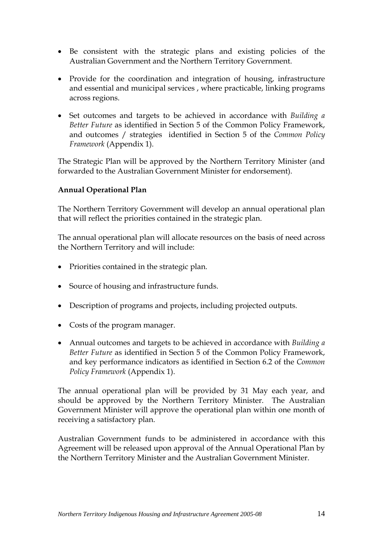- Be consistent with the strategic plans and existing policies of the Australian Government and the Northern Territory Government.
- Provide for the coordination and integration of housing, infrastructure and essential and municipal services , where practicable, linking programs across regions.
- Set outcomes and targets to be achieved in accordance with *Building a Better Future* as identified in Section 5 of the Common Policy Framework, and outcomes / strategies identified in Section 5 of the *Common Policy Framework* (Appendix 1).

The Strategic Plan will be approved by the Northern Territory Minister (and forwarded to the Australian Government Minister for endorsement).

#### **Annual Operational Plan**

The Northern Territory Government will develop an annual operational plan that will reflect the priorities contained in the strategic plan.

The annual operational plan will allocate resources on the basis of need across the Northern Territory and will include:

- Priorities contained in the strategic plan.
- Source of housing and infrastructure funds.
- Description of programs and projects, including projected outputs.
- Costs of the program manager.
- Annual outcomes and targets to be achieved in accordance with *Building a Better Future* as identified in Section 5 of the Common Policy Framework, and key performance indicators as identified in Section 6.2 of the *Common Policy Framework* (Appendix 1).

The annual operational plan will be provided by 31 May each year, and should be approved by the Northern Territory Minister. The Australian Government Minister will approve the operational plan within one month of receiving a satisfactory plan.

Australian Government funds to be administered in accordance with this Agreement will be released upon approval of the Annual Operational Plan by the Northern Territory Minister and the Australian Government Minister.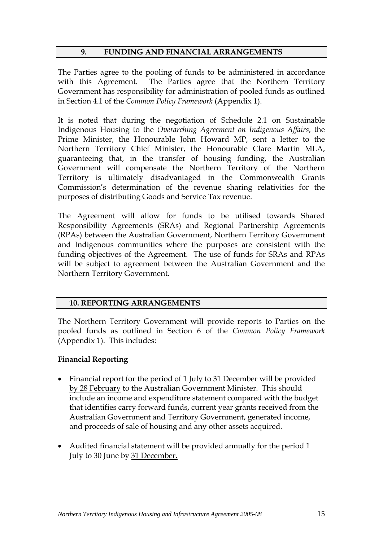#### **9. FUNDING AND FINANCIAL ARRANGEMENTS**

The Parties agree to the pooling of funds to be administered in accordance with this Agreement. The Parties agree that the Northern Territory Government has responsibility for administration of pooled funds as outlined in Section 4.1 of the *Common Policy Framework* (Appendix 1).

It is noted that during the negotiation of Schedule 2.1 on Sustainable Indigenous Housing to the *Overarching Agreement on Indigenous Affairs*, the Prime Minister, the Honourable John Howard MP, sent a letter to the Northern Territory Chief Minister, the Honourable Clare Martin MLA, guaranteeing that, in the transfer of housing funding, the Australian Government will compensate the Northern Territory of the Northern Territory is ultimately disadvantaged in the Commonwealth Grants Commission's determination of the revenue sharing relativities for the purposes of distributing Goods and Service Tax revenue.

The Agreement will allow for funds to be utilised towards Shared Responsibility Agreements (SRAs) and Regional Partnership Agreements (RPAs) between the Australian Government, Northern Territory Government and Indigenous communities where the purposes are consistent with the funding objectives of the Agreement. The use of funds for SRAs and RPAs will be subject to agreement between the Australian Government and the Northern Territory Government.

#### **10. REPORTING ARRANGEMENTS**

The Northern Territory Government will provide reports to Parties on the pooled funds as outlined in Section 6 of the *Common Policy Framework* (Appendix 1). This includes:

#### **Financial Reporting**

- Financial report for the period of 1 July to 31 December will be provided by 28 February to the Australian Government Minister. This should include an income and expenditure statement compared with the budget that identifies carry forward funds, current year grants received from the Australian Government and Territory Government, generated income, and proceeds of sale of housing and any other assets acquired.
- Audited financial statement will be provided annually for the period 1 July to 30 June by 31 December.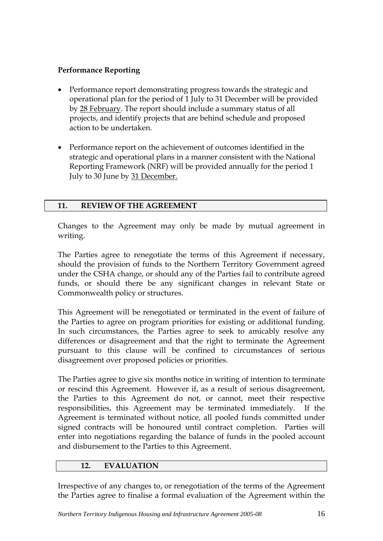#### **Performance Reporting**

- Performance report demonstrating progress towards the strategic and operational plan for the period of 1 July to 31 December will be provided by 28 February. The report should include a summary status of all projects, and identify projects that are behind schedule and proposed action to be undertaken.
- Performance report on the achievement of outcomes identified in the strategic and operational plans in a manner consistent with the National Reporting Framework (NRF) will be provided annually for the period 1 July to 30 June by 31 December.

#### **11. REVIEW OF THE AGREEMENT**

Changes to the Agreement may only be made by mutual agreement in writing.

The Parties agree to renegotiate the terms of this Agreement if necessary, should the provision of funds to the Northern Territory Government agreed under the CSHA change, or should any of the Parties fail to contribute agreed funds, or should there be any significant changes in relevant State or Commonwealth policy or structures.

This Agreement will be renegotiated or terminated in the event of failure of the Parties to agree on program priorities for existing or additional funding. In such circumstances, the Parties agree to seek to amicably resolve any differences or disagreement and that the right to terminate the Agreement pursuant to this clause will be confined to circumstances of serious disagreement over proposed policies or priorities.

The Parties agree to give six months notice in writing of intention to terminate or rescind this Agreement. However if, as a result of serious disagreement, the Parties to this Agreement do not, or cannot, meet their respective responsibilities, this Agreement may be terminated immediately. If the Agreement is terminated without notice, all pooled funds committed under signed contracts will be honoured until contract completion. Parties will enter into negotiations regarding the balance of funds in the pooled account and disbursement to the Parties to this Agreement.

#### **12. EVALUATION**

Irrespective of any changes to, or renegotiation of the terms of the Agreement the Parties agree to finalise a formal evaluation of the Agreement within the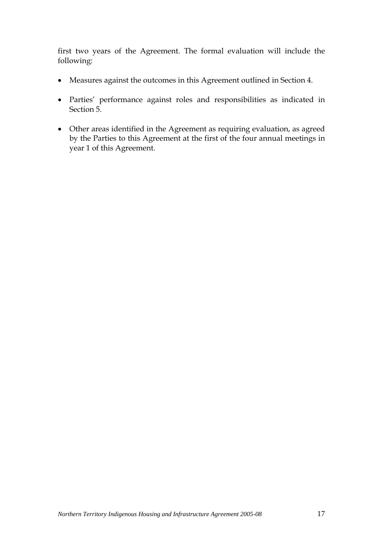first two years of the Agreement. The formal evaluation will include the following:

- Measures against the outcomes in this Agreement outlined in Section 4.
- Parties' performance against roles and responsibilities as indicated in Section 5.
- Other areas identified in the Agreement as requiring evaluation, as agreed by the Parties to this Agreement at the first of the four annual meetings in year 1 of this Agreement.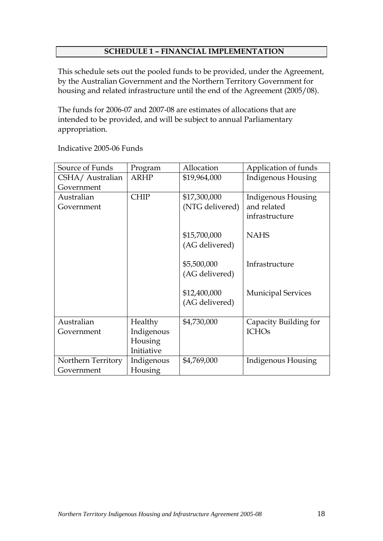#### **SCHEDULE 1 – FINANCIAL IMPLEMENTATION**

This schedule sets out the pooled funds to be provided, under the Agreement, by the Australian Government and the Northern Territory Government for housing and related infrastructure until the end of the Agreement (2005/08).

The funds for 2006-07 and 2007-08 are estimates of allocations that are intended to be provided, and will be subject to annual Parliamentary appropriation.

| Source of Funds    | Program     | Allocation      | Application of funds      |
|--------------------|-------------|-----------------|---------------------------|
| CSHA/ Australian   | <b>ARHP</b> | \$19,964,000    | Indigenous Housing        |
| Government         |             |                 |                           |
| Australian         | <b>CHIP</b> | \$17,300,000    | Indigenous Housing        |
| Government         |             | (NTG delivered) | and related               |
|                    |             |                 | infrastructure            |
|                    |             |                 |                           |
|                    |             | \$15,700,000    | <b>NAHS</b>               |
|                    |             | (AG delivered)  |                           |
|                    |             |                 |                           |
|                    |             | \$5,500,000     | Infrastructure            |
|                    |             | (AG delivered)  |                           |
|                    |             |                 |                           |
|                    |             | \$12,400,000    | <b>Municipal Services</b> |
|                    |             | (AG delivered)  |                           |
|                    |             |                 |                           |
| Australian         | Healthy     | \$4,730,000     | Capacity Building for     |
| Government         | Indigenous  |                 | <b>ICHOs</b>              |
|                    | Housing     |                 |                           |
|                    | Initiative  |                 |                           |
| Northern Territory | Indigenous  | \$4,769,000     | Indigenous Housing        |
| Government         | Housing     |                 |                           |

Indicative 2005-06 Funds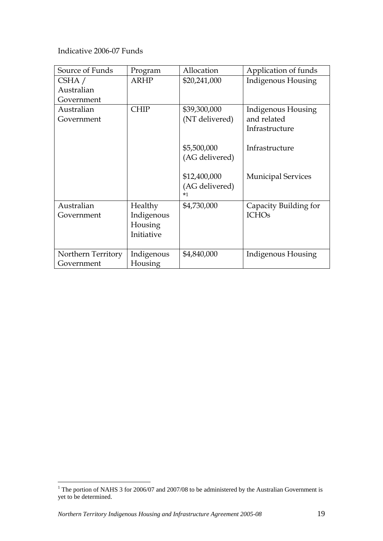Indicative 2006-07 Funds

| Source of Funds    | Program    | Allocation     | Application of funds      |
|--------------------|------------|----------------|---------------------------|
| CSHA /             | ARHP       | \$20,241,000   | <b>Indigenous Housing</b> |
| Australian         |            |                |                           |
| Government         |            |                |                           |
| Australian         | CHIP       | \$39,300,000   | Indigenous Housing        |
| Government         |            | (NT delivered) | and related               |
|                    |            |                | Infrastructure            |
|                    |            |                |                           |
|                    |            | \$5,500,000    | Infrastructure            |
|                    |            | (AG delivered) |                           |
|                    |            |                |                           |
|                    |            | \$12,400,000   | <b>Municipal Services</b> |
|                    |            | (AG delivered) |                           |
|                    |            | $*1$           |                           |
| Australian         | Healthy    | \$4,730,000    | Capacity Building for     |
| Government         | Indigenous |                | <b>ICHOs</b>              |
|                    | Housing    |                |                           |
|                    | Initiative |                |                           |
|                    |            |                |                           |
| Northern Territory | Indigenous | \$4,840,000    | Indigenous Housing        |
| Government         | Housing    |                |                           |

<sup>&</sup>lt;sup>1</sup> The portion of NAHS 3 for 2006/07 and 2007/08 to be administered by the Australian Government is yet to be determined.